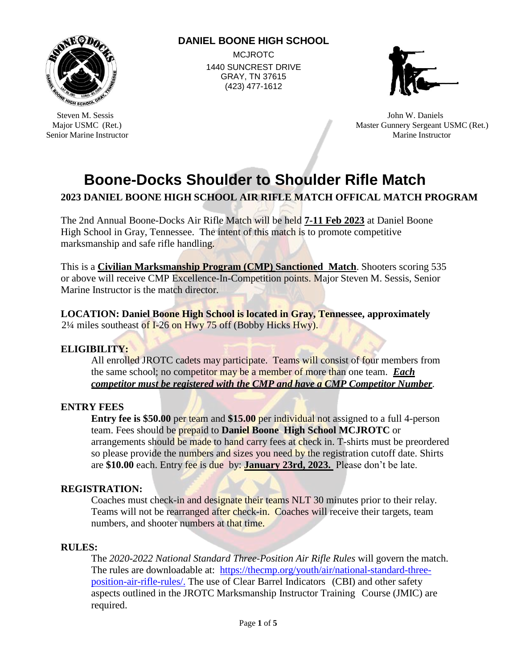

# **DANIEL BOONE HIGH SCHOOL**

MCJROTC 1440 SUNCREST DRIVE GRAY, TN 37615 (423) 477-1612



 Steven M. Sessis John W. Daniels Major USMC (Ret.) Major USMC (Ret.) Senior Marine Instructor **Marine Instructor** Marine Instructor **Marine Instructor** Marine Instructor

# **Boone-Docks Shoulder to Shoulder Rifle Match**

# **2023 DANIEL BOONE HIGH SCHOOL AIR RIFLE MATCH OFFICAL MATCH PROGRAM**

The 2nd Annual Boone-Docks Air Rifle Match will be held **7-11 Feb 2023** at Daniel Boone High School in Gray, Tennessee. The intent of this match is to promote competitive marksmanship and safe rifle handling.

This is a **Civilian Marksmanship Program (CMP) Sanctioned Match**. Shooters scoring 535 or above will receive CMP Excellence-In-Competition points. Major Steven M. Sessis, Senior Marine Instructor is the match director.

## **LOCATION: Daniel Boone High School is located in Gray, Tennessee, approximately**  2¼ miles southeast of I-26 on Hwy 75 off (Bobby Hicks Hwy).

# **ELIGIBILITY:**

All enrolled JROTC cadets may participate. Teams will consist of four members from the same school; no competitor may be a member of more than one team. *Each competitor must be registered with the CMP and have a CMP Competitor Number*.

# **ENTRY FEES**

**Entry fee is \$50.00** per team and **\$15.00** per individual not assigned to a full 4-person team. Fees should be prepaid to **Daniel Boone High School MCJROTC** or arrangements should be made to hand carry fees at check in. T-shirts must be preordered so please provide the numbers and sizes you need by the registration cutoff date. Shirts are **\$10.00** each. Entry fee is due by: **January 23rd, 2023.** Please don't be late.

## **REGISTRATION:**

Coaches must check-in and designate their teams NLT 30 minutes prior to their relay. Teams will not be rearranged after check-in. Coaches will receive their targets, team numbers, and shooter numbers at that time.

## **RULES:**

The *2020-2022 National Standard Three-Position Air Rifle Rules* will govern the match. The rules are downloadable at: https://thecmp.org/youth/air/national-standard-threeposition-air-rifle-rules/. The use of Clear Barrel Indicators (CBI) and other safety aspects outlined in the JROTC Marksmanship Instructor Training Course (JMIC) are required.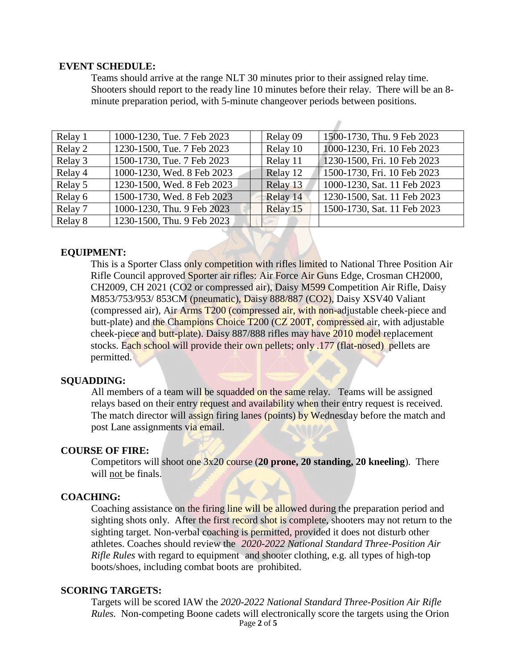#### **EVENT SCHEDULE:**

Teams should arrive at the range NLT 30 minutes prior to their assigned relay time. Shooters should report to the ready line 10 minutes before their relay. There will be an 8 minute preparation period, with 5-minute changeover periods between positions.

Þ

| Relay 1 | 1000-1230, Tue. 7 Feb 2023 | Relay 09 | 1500-1730, Thu. 9 Feb 2023  |
|---------|----------------------------|----------|-----------------------------|
| Relay 2 | 1230-1500, Tue. 7 Feb 2023 | Relay 10 | 1000-1230, Fri. 10 Feb 2023 |
| Relay 3 | 1500-1730, Tue. 7 Feb 2023 | Relay 11 | 1230-1500, Fri. 10 Feb 2023 |
| Relay 4 | 1000-1230, Wed. 8 Feb 2023 | Relay 12 | 1500-1730, Fri. 10 Feb 2023 |
| Relay 5 | 1230-1500, Wed. 8 Feb 2023 | Relay 13 | 1000-1230, Sat. 11 Feb 2023 |
| Relay 6 | 1500-1730, Wed. 8 Feb 2023 | Relay 14 | 1230-1500, Sat. 11 Feb 2023 |
| Relay 7 | 1000-1230, Thu. 9 Feb 2023 | Relay 15 | 1500-1730, Sat. 11 Feb 2023 |
| Relay 8 | 1230-1500, Thu. 9 Feb 2023 |          |                             |

#### **EQUIPMENT:**

This is a Sporter Class only competition with rifles limited to National Three Position Air Rifle Council approved Sporter air rifles: Air Force Air Guns Edge, Crosman CH2000, CH2009, CH 2021 (CO2 or compressed air), Daisy M599 Competition Air Rifle, Daisy M853/753/953/ 853CM (pneumatic), Daisy 888/887 (CO2), Daisy XSV40 Valiant (compressed air), Air Arms T200 (compressed air, with non-adjustable cheek-piece and butt-plate) and the Champions Choice T200 (CZ 200T, compressed air, with adjustable cheek-piece and butt-plate). Daisy 887/888 rifles may have 2010 model replacement stocks. Each school will provide their own pellets; only .177 (flat-nosed) pellets are permitted.

#### **SQUADDING:**

All members of a team will be squadded on the same relay. Teams will be assigned relays based on their entry request and availability when their entry request is received. The match director will assign firing lanes (points) by Wednesday before the match and post Lane assignments via email.

#### **COURSE OF FIRE:**

Competitors will shoot one 3x20 course (**20 prone, 20 standing, 20 kneeling**). There will not be finals.

#### **COACHING:**

Coaching assistance on the firing line will be allowed during the preparation period and sighting shots only. After the first record shot is complete, shooters may not return to the sighting target. Non-verbal coaching is permitted, provided it does not disturb other athletes. Coaches should review the *2020-2022 National Standard Three-Position Air Rifle Rules* with regard to equipment and shooter clothing, e.g. all types of high-top boots/shoes, including combat boots are prohibited.

### **SCORING TARGETS:**

Page **2** of **5** Targets will be scored IAW the *2020-2022 National Standard Three-Position Air Rifle Rules.* Non-competing Boone cadets will electronically score the targets using the Orion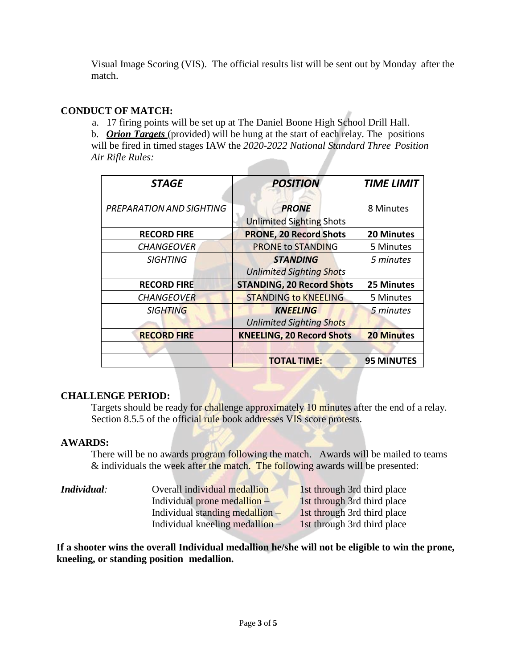Visual Image Scoring (VIS). The official results list will be sent out by Monday after the match.

# **CONDUCT OF MATCH:**

a. 17 firing points will be set up at The Daniel Boone High School Drill Hall.

b. *Orion Targets* (provided) will be hung at the start of each relay. The positions will be fired in timed stages IAW the *2020-2022 National Standard Three Position Air Rifle Rules:*

| <b>STAGE</b>             | <b>POSITION</b>                                 | <b>TIME LIMIT</b> |
|--------------------------|-------------------------------------------------|-------------------|
| PREPARATION AND SIGHTING | <b>PRONE</b><br><b>Unlimited Sighting Shots</b> | 8 Minutes         |
| <b>RECORD FIRE</b>       | <b>PRONE, 20 Record Shots</b>                   | <b>20 Minutes</b> |
| <b>CHANGEOVER</b>        | <b>PRONE to STANDING</b>                        | 5 Minutes         |
| <b>SIGHTING</b>          | <b>STANDING</b>                                 | 5 minutes         |
|                          | <b>Unlimited Sighting Shots</b>                 |                   |
| <b>RECORD FIRE</b>       | <b>STANDING, 20 Record Shots</b>                | 25 Minutes        |
| <b>CHANGEOVER</b>        | <b>STANDING to KNEELING</b>                     | 5 Minutes         |
| <b>SIGHTING</b>          | <b>KNEELING</b>                                 | 5 minutes         |
|                          | <b>Unlimited Sighting Shots</b>                 |                   |
| <b>RECORD FIRE</b>       | <b>KNEELING, 20 Record Shots</b>                | <b>20 Minutes</b> |
|                          |                                                 |                   |
|                          | <b>TOTAL TIME:</b>                              | <b>95 MINUTES</b> |

## **CHALLENGE PERIOD:**

Targets should be ready for challenge approximately 10 minutes after the end of a relay. Section 8.5.5 of the official rule book addresses VIS score protests.

## **AWARDS:**

There will be no awards program following the match. Awards will be mailed to teams & individuals the week after the match. The following awards will be presented:

| Individual: | Overall individual medallion -    | 1st through 3rd third place |
|-------------|-----------------------------------|-----------------------------|
|             | Individual prone medallion -      | 1st through 3rd third place |
|             | Individual standing medallion $-$ | 1st through 3rd third place |
|             | Individual kneeling medallion $-$ | 1st through 3rd third place |

**If a shooter wins the overall Individual medallion he/she will not be eligible to win the prone, kneeling, or standing position medallion.**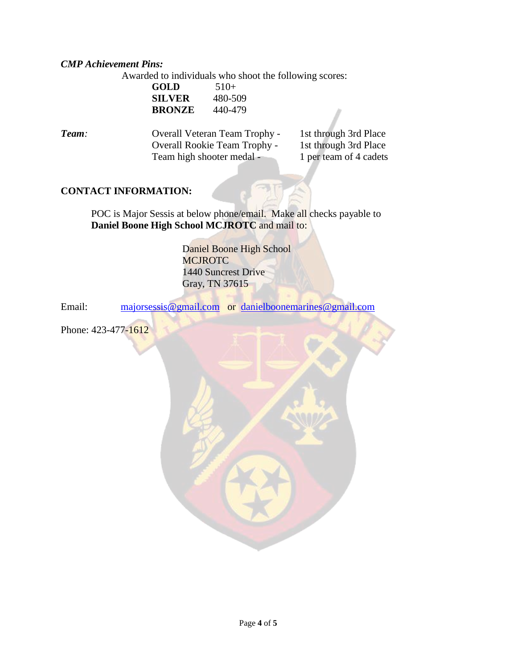#### *CMP Achievement Pins:*

Awarded to individuals who shoot the following scores:

**GOLD** 510+ **SILVER** 480-509 **BRONZE** 440-479

**Team**: Overall Veteran Team Trophy - 1st through 3rd Place Overall Rookie Team Trophy - 1st through 3rd Place Team high shooter medal - 1 per team of 4 cadets

# **CONTACT INFORMATION:**

POC is Major Sessis at below phone/email. Make all checks payable to **Daniel Boone High School MCJROTC** and mail to:

> Daniel Boone High School **MCJROTC** 1440 Suncrest Drive Gray, TN 37615

Email: [majorsessis@gmail.com](mailto:majorsessis@gmail.com) or [danielboonemarines@gmail.com](mailto:danielboonemarines@gmail.com)

Phone: 423-477-1612